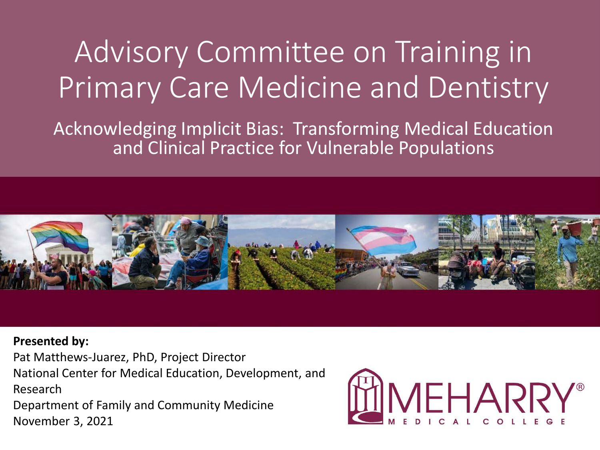### Advisory Committee on Training in Primary Care Medicine and Dentistry

Acknowledging Implicit Bias: Transforming Medical Education and Clinical Practice for Vulnerable Populations



#### **Presented by:**

Pat Matthews-Juarez, PhD, Project Director

National Center for Medical Education, Development, and Research

Department of Family and Community Medicine November 3, 2021

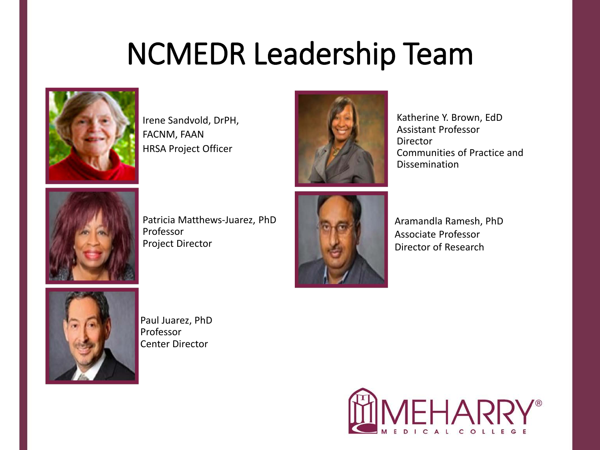### NCMEDR Leadership Team



Irene Sandvold, DrPH, FACNM, FAAN HRSA Project Officer



Katherine Y. Brown, EdD Assistant Professor Director Communities of Practice and Dissemination



Patricia Matthews-Juarez, PhD Professor Project Director



Aramandla Ramesh, PhD Associate Professor Director of Research



Paul Juarez, PhD Professor Center Director

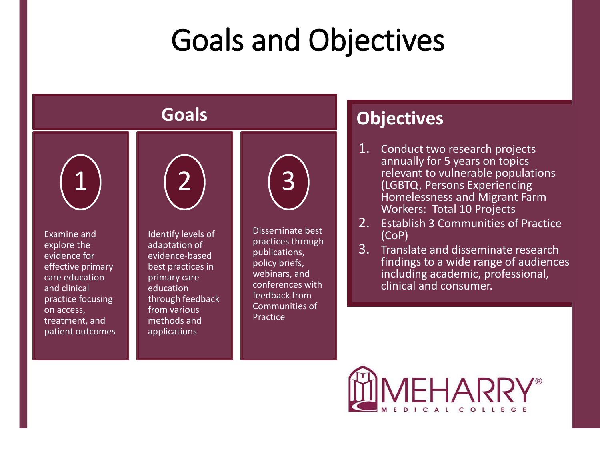### Goals and Objectives



- 1. Conduct two research projects annually for 5 years on topics relevant to vulnerable populations (LGBTQ, Persons Experiencing Homelessness and Migrant Farm Workers: Total 10 Projects
- 2. Establish 3 Communities of Practice
- 3. Translate and disseminate research findings to a wide range of audiences including academic, professional, clinical and consumer.

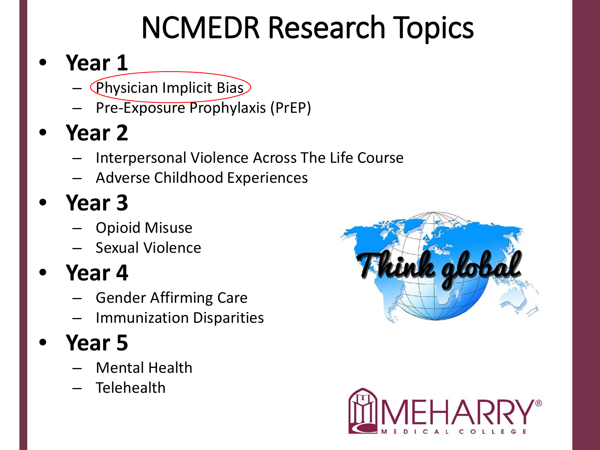## NCMEDR Research Topics

### • **Year 1**

- $\left(\mathsf{Physical}$  Implicit Bias)
- Pre-Exposure Prophylaxis (PrEP)
- **Year 2**
	- Interpersonal Violence Across The Life Course
	- Adverse Childhood Experiences

### • **Year 3**

- Opioid Misuse
- Sexual Violence

### • **Year 4**

- Gender Affirming Care
- Immunization Disparities

### • **Year 5**

- Mental Health
- Telehealth



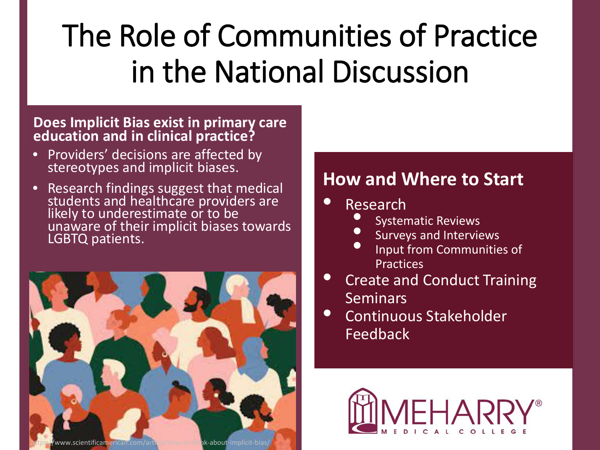## The Role of Communities of Practice in the National Discussion

#### **Does Implicit Bias exist in primary care education and in clinical practice?**

- Providers' decisions are affected by stereotypes and implicit biases.
- Research findings suggest that medical students and healthcare providers are likely to underestimate or to be unaware of their implicit biases towards LGBTQ patients.



#### **How and Where to Start**

#### • Research

- Systematic Reviews
- Surveys and Interviews
- Input from Communities of Practices
- Create and Conduct Training Seminars
- Continuous Stakeholder Feedback

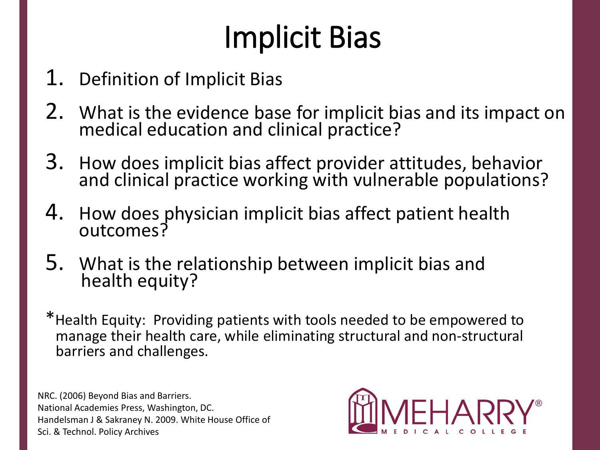## Implicit Bias

- 1. Definition of Implicit Bias
- 2. What is the evidence base for implicit bias and its impact on medical education and clinical practice?
- 3. How does implicit bias affect provider attitudes, behavior and clinical practice working with vulnerable populations?
- 4. How does physician implicit bias affect patient health outcomes?
- 5. What is the relationship between implicit bias and health equity?
- \*Health Equity: Providing patients with tools needed to be empowered to manage their health care, while eliminating structural and non-structural barriers and challenges.

NRC. (2006) Beyond Bias and Barriers. National Academies Press, Washington, DC. Handelsman J & Sakraney N. 2009. White House Office of Sci. & Technol. Policy Archives

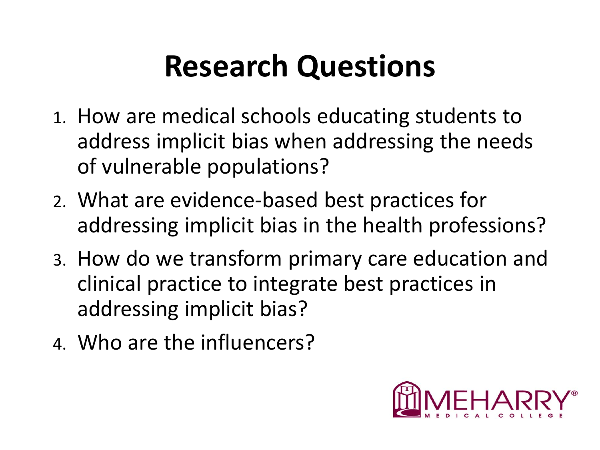### **Research Questions**

- 1. How are medical schools educating students to address implicit bias when addressing the needs of vulnerable populations?
- 2. What are evidence-based best practices for addressing implicit bias in the health professions?
- 3. How do we transform primary care education and clinical practice to integrate best practices in addressing implicit bias?
- 4. Who are the influencers?

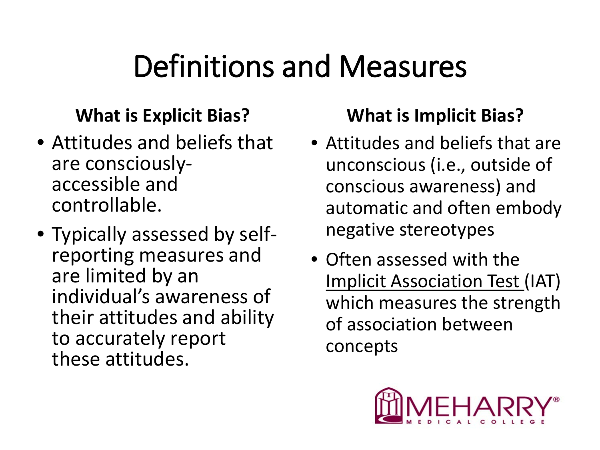### Definitions and Measures

#### **What is Explicit Bias?**

- Attitudes and beliefs that are consciously- accessible and controllable.
- Typically assessed by self- reporting measures and are limited by an individual's awareness of their attitudes and ability to accurately report these attitudes.

#### **What is Implicit Bias?**

- Attitudes and beliefs that are unconscious (i.e., outside of conscious awareness) and automatic and often embody negative stereotypes
- Often assessed with the Implicit Association Test (IAT) which measures the strength of association between concepts

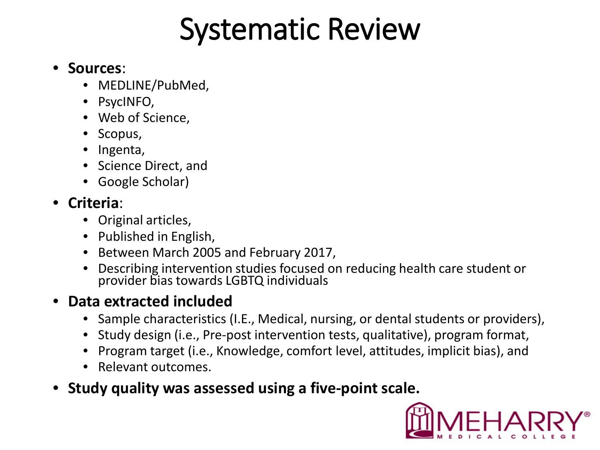### Systematic Review

#### • **Sources**:

- MEDLINE/PubMed,
- PsycINFO,
- Web of Science,
- Scopus,
- Ingenta,
- Science Direct, and
- Google Scholar)

#### • **Criteria**:

- Original articles,
- Published in English,
- Between March 2005 and February 2017,
- Describing intervention studies focused on reducing health care student or provider bias towards LGBTQ individuals

#### • **Data extracted included**

- Sample characteristics (I.E., Medical, nursing, or dental students or providers),
- Study design (i.e., Pre-post intervention tests, qualitative), program format,
- Program target (i.e., Knowledge, comfort level, attitudes, implicit bias), and
- Relevant outcomes.
- **Study quality was assessed using a five-point scale.**

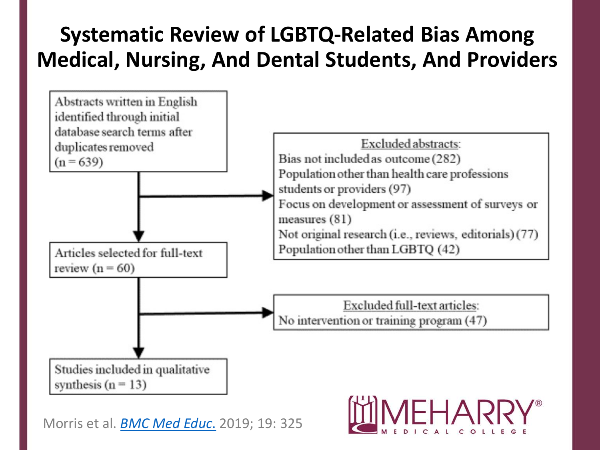### **Systematic Review of LGBTQ-Related Bias Among Medical, Nursing, And Dental Students, And Providers**



Morris et al. *[BMC Med Educ](https://www.ncbi.nlm.nih.gov/pmc/articles/PMC6716913/)*[.](https://www.ncbi.nlm.nih.gov/pmc/articles/PMC6716913/) 2019; 19: 325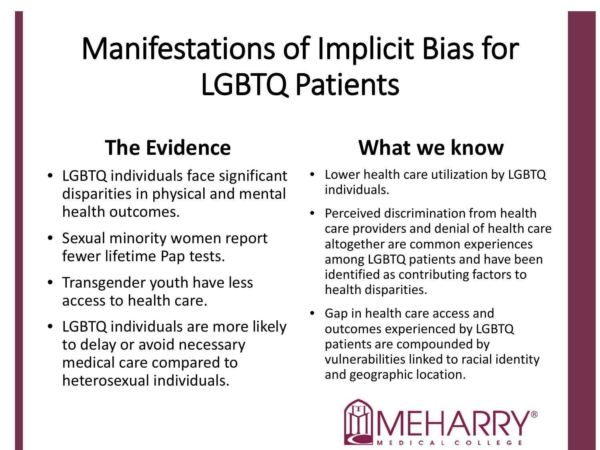### Manifestations of Implicit Bias for LGBTQ Patients

### **The Evidence**

- LGBTQ individuals face significant disparities in physical and mental health outcomes.
- Sexual minority women report fewer lifetime Pap tests.
- Transgender youth have less access to health care.
- LGBTQ individuals are more likely to delay or avoid necessary medical care compared to heterosexual individuals.

### **What we know**

- Lower health care utilization by LGBTQ individuals.
- Perceived discrimination from health care providers and denial of health care altogether are common experiences among LGBTQ patients and have been identified as contributing factors to health disparities.
- Gap in health care access and outcomes experienced by LGBTQ patients are compounded by vulnerabilities linked to racial identity and geographic location.

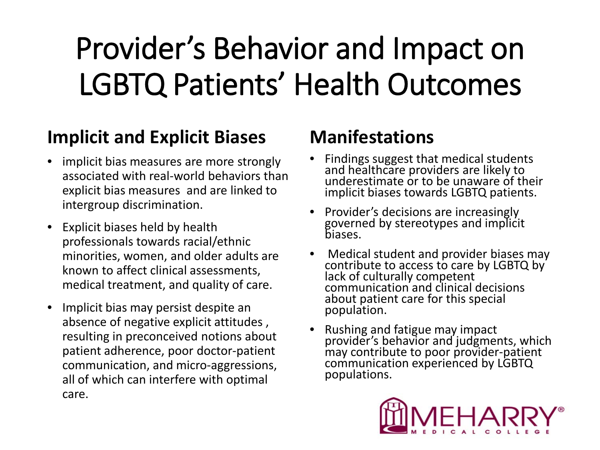## Provider's Behavior and Impact on LGBTQ Patients' Health Outcomes

#### **Implicit and Explicit Biases**

- implicit bias measures are more strongly associated with real-world behaviors than explicit bias measures and are linked to intergroup discrimination.
- Explicit biases held by health professionals towards racial/ethnic minorities, women, and older adults are known to affect clinical assessments, medical treatment, and quality of care.
- Implicit bias may persist despite an absence of negative explicit attitudes , resulting in preconceived notions about patient adherence, poor doctor-patient communication, and micro-aggressions, all of which can interfere with optimal care.

#### **Manifestations**

- Findings suggest that medical students and healthcare providers are likely to underestimate or to be unaware of their implicit biases towards LGBTQ patients.
- Provider's decisions are increasingly governed by stereotypes and implicit biases.
- Medical student and provider biases may contribute to access to care by LGBTQ by lack of culturally competent communication and clinical decisions about patient care for this special population.
- Rushing and fatigue may impact provider's behavior and judgments, which may contribute to poor provider-patient communication experienced by LGBTQ populations.

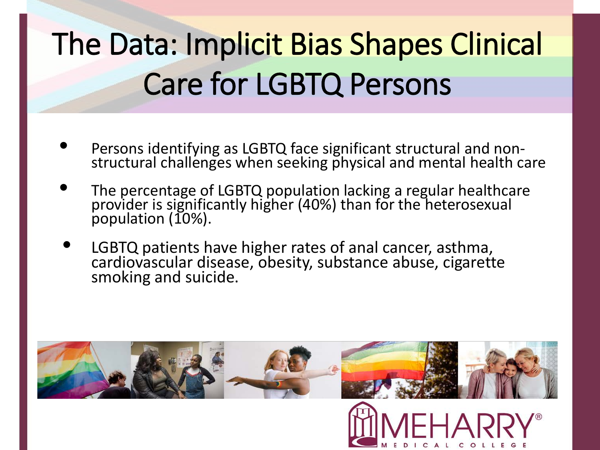## The Data: Implicit Bias Shapes Clinical Care for LGBTQ Persons

- Persons identifying as LGBTQ face significant structural and non-<br>structural challenges when seeking physical and mental health care
- The percentage of LGBTQ population lacking a regular healthcare provider is significantly higher (40%) than for the heterosexual population (10%).
- LGBTQ patients have higher rates of anal cancer, asthma, cardiovascular disease, obesity, substance abuse, cigarette smoking and suicide.

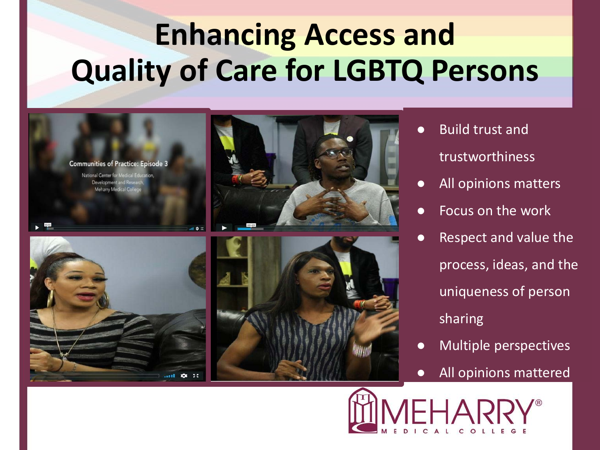### **Enhancing Access and Quality of Care for LGBTQ Persons**



- Build trust and trustworthiness
- All opinions matters
- Focus on the work
- Respect and value the process, ideas, and the uniqueness of person sharing
- Multiple perspectives
- All opinions mattered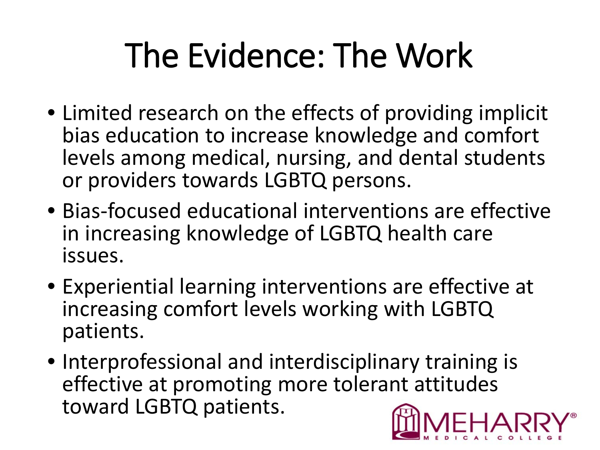## The Evidence: The Work

- Limited research on the effects of providing implicit bias education to increase knowledge and comfort levels among medical, nursing, and dental students or providers towards LGBTQ persons.
- Bias-focused educational interventions are effective in increasing knowledge of LGBTQ health care issues.
- Experiential learning interventions are effective at increasing comfort levels working with LGBTQ patients.
- Interprofessional and interdisciplinary training is effective at promoting more tolerant attitudes toward LGBTQ patients.

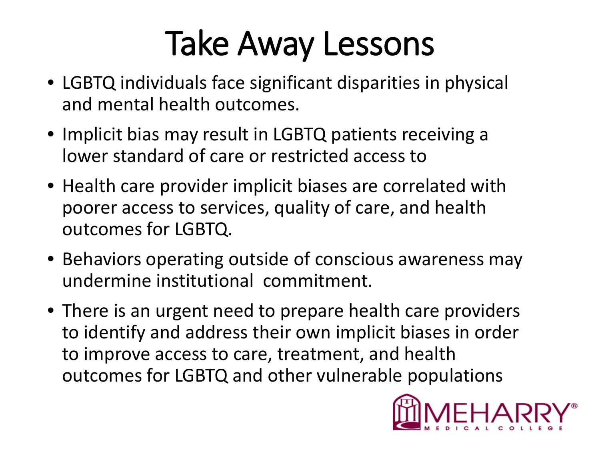## Take Away Lessons

- LGBTQ individuals face significant disparities in physical and mental health outcomes.
- Implicit bias may result in LGBTQ patients receiving a lower standard of care or restricted access to
- Health care provider implicit biases are correlated with poorer access to services, quality of care, and health outcomes for LGBTQ.
- Behaviors operating outside of conscious awareness may undermine institutional commitment.
- There is an urgent need to prepare health care providers to identify and address their own implicit biases in order to improve access to care, treatment, and health outcomes for LGBTQ and other vulnerable populations

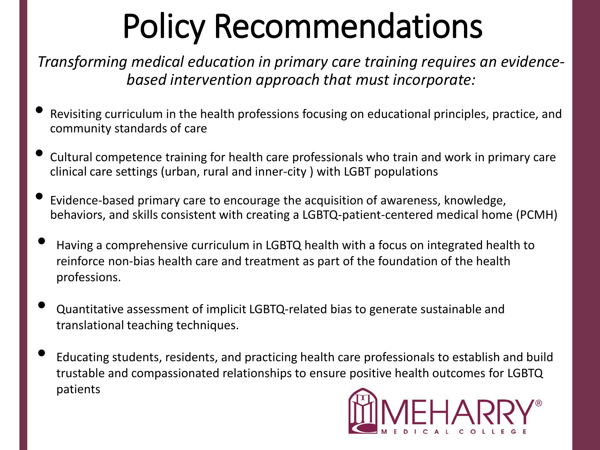## Policy Recommendations

*Transforming medical education in primary care training requires an evidencebased intervention approach that must incorporate:*

- Revisiting curriculum in the health professions focusing on educational principles, practice, and community standards of care
- Cultural competence training for health care professionals who train and work in primary care clinical care settings (urban, rural and inner-city ) with LGBT populations
- Evidence-based primary care to encourage the acquisition of awareness, knowledge, behaviors, and skills consistent with creating a LGBTQ-patient-centered medical home (PCMH)
- Having a comprehensive curriculum in LGBTQ health with a focus on integrated health to reinforce non-bias health care and treatment as part of the foundation of the health professions.
- Quantitative assessment of implicit LGBTQ-related bias to generate sustainable and translational teaching techniques.
- Educating students, residents, and practicing health care professionals to establish and build trustable and compassionated relationships to ensure positive health outcomes for LGBTQ patients

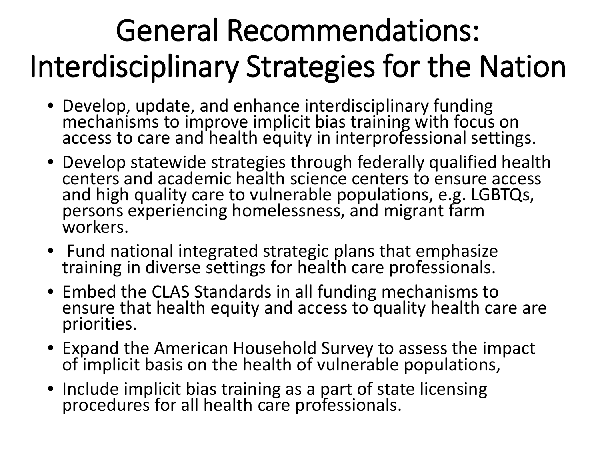### General Recommendations: Interdisciplinary Strategies for the Nation

- Develop, update, and enhance interdisciplinary funding mechanisms to improve implicit bias training with focus on access to care and health equity in interprofessional settings.
- Develop statewide strategies through federally qualified health centers and academic health science centers to ensure access and high quality care to vulnerable populations, e.g. LGBTQs, persons experiencing homelessness, and migrant farm workers.
- Fund national integrated strategic plans that emphasize training in diverse settings for health care professionals.
- Embed the CLAS Standards in all funding mechanisms to ensure that health equity and access to quality health care are priorities.
- Expand the American Household Survey to assess the impact of implicit basis on the health of vulnerable populations,
- Include implicit bias training as a part of state licensing procedures for all health care professionals.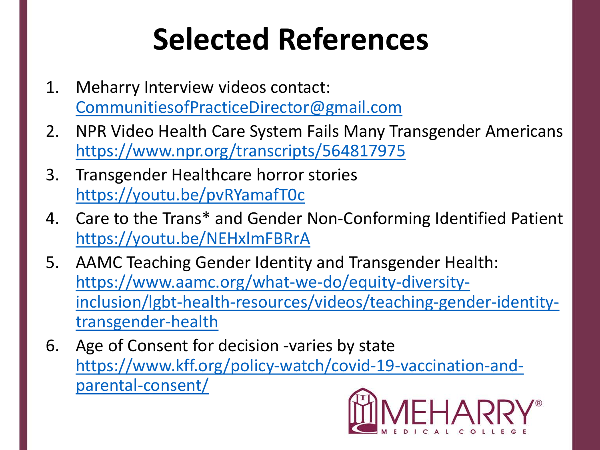## **Selected References**

- 1. Meharry Interview videos contact: [CommunitiesofPracticeDirector@gmail.com](mailto:CommunitiesofPracticeDirector@gmail.com)
- 2. NPR Video Health Care System Fails Many Transgender Americans <https://www.npr.org/transcripts/564817975>
- 3. Transgender Healthcare horror stories <https://youtu.be/pvRYamafT0c>
- 4. Care to the Trans\* and Gender Non-Conforming Identified Patient <https://youtu.be/NEHxlmFBRrA>
- 5. AAMC Teaching Gender Identity and Transgender Health: https://www.aamc.org/what-we-do/equity-diversity[inclusion/lgbt-health-resources/videos/teaching-gender-identity](https://www.aamc.org/what-we-do/equity-diversity-inclusion/lgbt-health-resources/videos/teaching-gender-identity-transgender-health)transgender-health
- 6. Age of Consent for decision -varies by state [https://www.kff.org/policy-watch/covid-19-vaccination-and](https://www.kff.org/policy-watch/covid-19-vaccination-and-parental-consent/)parental-consent/